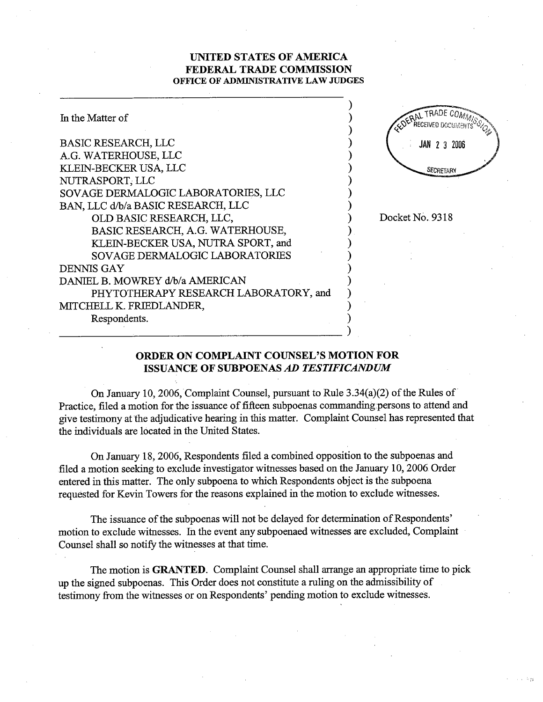## UNTED STATES OF AMRICA FEDERAL TRADE COMMISSION OFFICE OF ADMINISTRATIVE LAW JUDGES

| In the Matter of                      |                     |
|---------------------------------------|---------------------|
| <b>BASIC RESEARCH, LLC</b>            | <b>JAN 2 3 2006</b> |
| A.G. WATERHOUSE, LLC                  |                     |
| KLEIN-BECKER USA, LLC                 | SECRETARY           |
| NUTRASPORT, LLC                       |                     |
| SOVAGE DERMALOGIC LABORATORIES, LLC   |                     |
| BAN, LLC d/b/a BASIC RESEARCH, LLC    |                     |
| OLD BASIC RESEARCH, LLC,              | Docket No. 9318     |
| BASIC RESEARCH, A.G. WATERHOUSE,      |                     |
| KLEIN-BECKER USA, NUTRA SPORT, and    |                     |
| SOVAGE DERMALOGIC LABORATORIES        |                     |
| DENNIS GAY                            |                     |
| DANIEL B. MOWREY d/b/a AMERICAN       |                     |
| PHYTOTHERAPY RESEARCH LABORATORY, and |                     |
| MITCHELL K. FRIEDLANDER,              |                     |
| Respondents.                          |                     |
|                                       |                     |

## ORDER ON COMPLAINT COUNSEL'S MOTION FOR ISSUANCE OF SUBPOENAS AD TESTIFICANDUM

On January 10, 2006, Complaint Counsel, pursuant to Rule  $3.34(a)(2)$  of the Rules of Practice, filed a motion for the issuance of fifteen subpoenas commanding persons to attend and give testimony at the adjudicative hearing in this matter. Complaint Counsel has represented that the individuals are located in the United States.

On January 18, 2006, Respondents filed a combined opposition to the subpoenas and filed a motion seeking to exclude investigator witnesses based on the January 10, 2006 Order entered in this matter. The only subpoena to which Respondents object is the subpoena requested for Kevin Towers for the reasons explained in the motion to exclude witnesses.

The issuance of the subpoenas will not be delayed for determination of Respondents' motion to exclude witnesses. In the event any subpoenaed witnesses are excluded, Complaint Counsel shall so notifY the witnesses at that time.

The motion is GRATED. Complaint Counsel shall arange an appropriate time to pick up the signed subpoenas. This Order does not constitute a ruling on the admissibility of testimony from the witnesses or on Respondents' pendig motion to exclude witnesses.